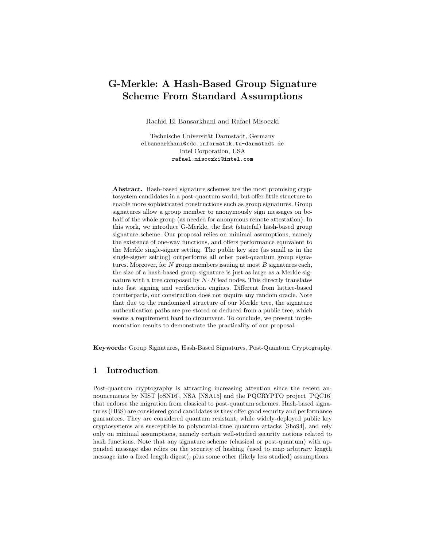# G-Merkle: A Hash-Based Group Signature Scheme From Standard Assumptions

Rachid El Bansarkhani and Rafael Misoczki

Technische Universität Darmstadt, Germany elbansarkhani@cdc.informatik.tu-darmstadt.de Intel Corporation, USA rafael.misoczki@intel.com

Abstract. Hash-based signature schemes are the most promising cryptosystem candidates in a post-quantum world, but offer little structure to enable more sophisticated constructions such as group signatures. Group signatures allow a group member to anonymously sign messages on behalf of the whole group (as needed for anonymous remote attestation). In this work, we introduce G-Merkle, the first (stateful) hash-based group signature scheme. Our proposal relies on minimal assumptions, namely the existence of one-way functions, and offers performance equivalent to the Merkle single-signer setting. The public key size (as small as in the single-signer setting) outperforms all other post-quantum group signatures. Moreover, for  $N$  group members issuing at most  $B$  signatures each, the size of a hash-based group signature is just as large as a Merkle signature with a tree composed by  $N \cdot B$  leaf nodes. This directly translates into fast signing and verification engines. Different from lattice-based counterparts, our construction does not require any random oracle. Note that due to the randomized structure of our Merkle tree, the signature authentication paths are pre-stored or deduced from a public tree, which seems a requirement hard to circumvent. To conclude, we present implementation results to demonstrate the practicality of our proposal.

Keywords: Group Signatures, Hash-Based Signatures, Post-Quantum Cryptography.

# 1 Introduction

Post-quantum cryptography is attracting increasing attention since the recent announcements by NIST [oSN16], NSA [NSA15] and the PQCRYPTO project [PQC16] that endorse the migration from classical to post-quantum schemes. Hash-based signatures (HBS) are considered good candidates as they offer good security and performance guarantees. They are considered quantum resistant, while widely-deployed public key cryptosystems are susceptible to polynomial-time quantum attacks [Sho94], and rely only on minimal assumptions, namely certain well-studied security notions related to hash functions. Note that any signature scheme (classical or post-quantum) with appended message also relies on the security of hashing (used to map arbitrary length message into a fixed length digest), plus some other (likely less studied) assumptions.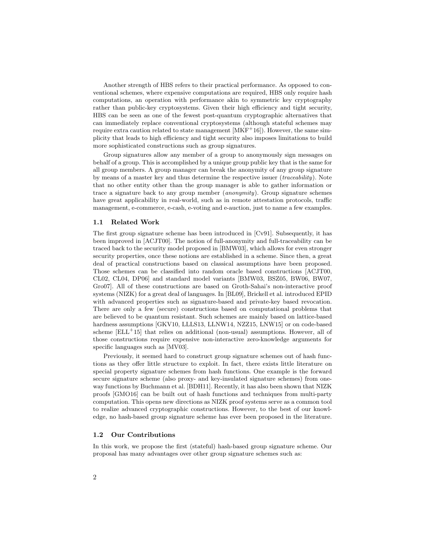Another strength of HBS refers to their practical performance. As opposed to conventional schemes, where expensive computations are required, HBS only require hash computations, an operation with performance akin to symmetric key cryptography rather than public-key cryptosystems. Given their high efficiency and tight security, HBS can be seen as one of the fewest post-quantum cryptographic alternatives that can immediately replace conventional cryptosystems (although stateful schemes may require extra caution related to state management  $[MKF^+16]$ ). However, the same simplicity that leads to high efficiency and tight security also imposes limitations to build more sophisticated constructions such as group signatures.

Group signatures allow any member of a group to anonymously sign messages on behalf of a group. This is accomplished by a unique group public key that is the same for all group members. A group manager can break the anonymity of any group signature by means of a master key and thus determine the respective issuer (traceability). Note that no other entity other than the group manager is able to gather information or trace a signature back to any group member (anonymity). Group signature schemes have great applicability in real-world, such as in remote attestation protocols, traffic management, e-commerce, e-cash, e-voting and e-auction, just to name a few examples.

#### 1.1 Related Work

The first group signature scheme has been introduced in [Cv91]. Subsequently, it has been improved in [ACJT00]. The notion of full-anonymity and full-traceability can be traced back to the security model proposed in [BMW03], which allows for even stronger security properties, once these notions are established in a scheme. Since then, a great deal of practical constructions based on classical assumptions have been proposed. Those schemes can be classified into random oracle based constructions [ACJT00, CL02, CL04, DP06] and standard model variants [BMW03, BSZ05, BW06, BW07, Gro07]. All of these constructions are based on Groth-Sahai's non-interactive proof systems (NIZK) for a great deal of languages. In [BL09], Brickell et al. introduced EPID with advanced properties such as signature-based and private-key based revocation. There are only a few (secure) constructions based on computational problems that are believed to be quantum resistant. Such schemes are mainly based on lattice-based hardness assumptions [GKV10, LLLS13, LLNW14, NZZ15, LNW15] or on code-based scheme  $[ELL<sup>+</sup>15]$  that relies on additional (non-usual) assumptions. However, all of those constructions require expensive non-interactive zero-knowledge arguments for specific languages such as [MV03].

Previously, it seemed hard to construct group signature schemes out of hash functions as they offer little structure to exploit. In fact, there exists little literature on special property signature schemes from hash functions. One example is the forward secure signature scheme (also proxy- and key-insulated signature schemes) from oneway functions by Buchmann et al. [BDH11]. Recently, it has also been shown that NIZK proofs [GMO16] can be built out of hash functions and techniques from multi-party computation. This opens new directions as NIZK proof systems serve as a common tool to realize advanced cryptographic constructions. However, to the best of our knowledge, no hash-based group signature scheme has ever been proposed in the literature.

#### 1.2 Our Contributions

In this work, we propose the first (stateful) hash-based group signature scheme. Our proposal has many advantages over other group signature schemes such as: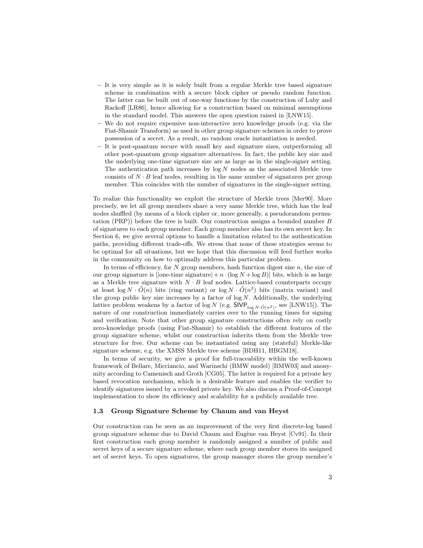- It is very simple as it is solely built from a regular Merkle tree based signature scheme in combination with a secure block cipher or pseudo random function. The latter can be built out of one-way functions by the construction of Luby and Rackoff [LR86], hence allowing for a construction based on minimal assumptions in the standard model. This answers the open question raised in [LNW15].
- We do not require expensive non-interactive zero knowledge proofs (e.g. via the Fiat-Shamir Transform) as used in other group signature schemes in order to prove possession of a secret. As a result, no random oracle instantiation is needed.
- It is post-quantum secure with small key and signature sizes, outperforming all other post-quantum group signature alternatives. In fact, the public key size and the underlying one-time signature size are as large as in the single-signer setting. The authentication path increases by  $\log N$  nodes as the associated Merkle tree consists of  $N \cdot B$  leaf nodes, resulting in the same number of signatures per group member. This coincides with the number of signatures in the single-signer setting.

To realize this functionality we exploit the structure of Merkle trees [Mer90]. More precisely, we let all group members share a very same Merkle tree, which has the leaf nodes shuffled (by means of a block cipher or, more generally, a pseudorandom permutation (PRP)) before the tree is built. Our construction assigns a bounded number B of signatures to each group member. Each group member also has its own secret key. In Section 6, we give several options to handle a limitation related to the authentication paths, providing different trade-offs. We stress that none of these strategies seems to be optimal for all situations, but we hope that this discussion will feed further works in the community on how to optimally address this particular problem.

In terms of efficiency, for  $N$  group members, hash function digest size  $n$ , the size of our group signature is  $||$ one-time signature $| + n \cdot (\log N + \log B)|$  bits, which is as large as a Merkle tree signature with  $N \cdot B$  leaf nodes. Lattice-based counterparts occupy at least  $\log N \cdot \tilde{O}(n)$  bits (ring variant) or  $\log N \cdot \tilde{O}(n^2)$  bits (matrix variant) and the group public key size increases by a factor of  $log N$ . Additionally, the underlying lattice problem weakens by a factor of  $\log N$  (e.g.  $SIVP_{\log N \cdot \tilde{O}(n^2)}$ , see [LNW15]). The nature of our construction immediately carries over to the running times for signing and verification. Note that other group signature constructions often rely on costly zero-knowledge proofs (using Fiat-Shamir) to establish the different features of the group signature scheme, whilst our construction inherits them from the Merkle tree structure for free. Our scheme can be instantiated using any (stateful) Merkle-like signature scheme, e.g. the XMSS Merkle tree scheme [BDH11, HBGM18].

In terms of security, we give a proof for full-traceability within the well-known framework of Bellare, Micciancio, and Warinschi (BMW model) [BMW03] and anonymity according to Camenisch and Groth [CG05]. The latter is required for a private key based revocation mechanism, which is a desirable feature and enables the verifier to identify signatures issued by a revoked private key. We also discuss a Proof-of-Concept implementation to show its efficiency and scalability for a publicly available tree.

#### 1.3 Group Signature Scheme by Chaum and van Heyst

Our construction can be seen as an improvement of the very first discrete-log based group signature scheme due to David Chaum and Eugène van Heyst [Cv91]. In their first construction each group member is randomly assigned a number of public and secret keys of a secure signature scheme, where each group member stores its assigned set of secret keys. To open signatures, the group manager stores the group member's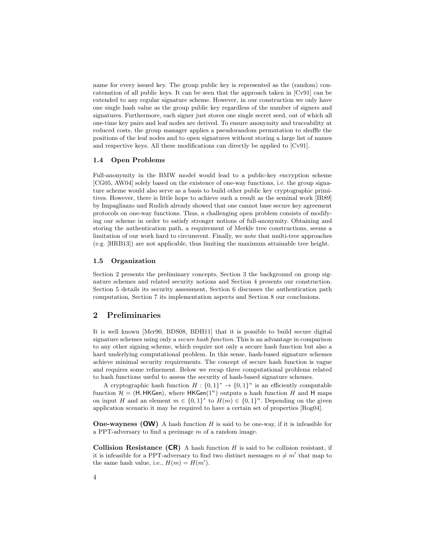name for every issued key. The group public key is represented as the (random) concatenation of all public keys. It can be seen that the approach taken in [Cv91] can be extended to any regular signature scheme. However, in our construction we only have one single hash value as the group public key regardless of the number of signers and signatures. Furthermore, each signer just stores one single secret seed, out of which all one-time key pairs and leaf nodes are derived. To ensure anonymity and traceability at reduced costs, the group manager applies a pseudorandom permutation to shuffle the positions of the leaf nodes and to open signatures without storing a large list of names and respective keys. All these modifications can directly be applied to [Cv91].

#### 1.4 Open Problems

Full-anonymity in the BMW model would lead to a public-key encryption scheme [CG05, AW04] solely based on the existence of one-way functions, i.e. the group signature scheme would also serve as a basis to build other public key cryptographic primitives. However, there is little hope to achieve such a result as the seminal work [IR89] by Impagliazzo und Rudich already showed that one cannot base secure key agreement protocols on one-way functions. Thus, a challenging open problem consists of modifying our scheme in order to satisfy stronger notions of full-anonymity. Obtaining and storing the authentication path, a requirement of Merkle tree constructions, seems a limitation of our work hard to circumvent. Finally, we note that multi-tree approaches (e.g. [HRB13]) are not applicable, thus limiting the maximum attainable tree height.

## 1.5 Organization

Section 2 presents the preliminary concepts, Section 3 the background on group signature schemes and related security notions and Section 4 presents our construction. Section 5 details its security assessment, Section 6 discusses the authentication path computation, Section 7 its implementation aspects and Section 8 our conclusions.

# 2 Preliminaries

It is well known [Mer90, BDS08, BDH11] that it is possible to build secure digital signature schemes using only a secure hash function. This is an advantage in comparison to any other signing scheme, which require not only a secure hash function but also a hard underlying computational problem. In this sense, hash-based signature schemes achieve minimal security requirements. The concept of secure hash function is vague and requires some refinement. Below we recap three computational problems related to hash functions useful to assess the security of hash-based signature schemes.

A cryptographic hash function  $H: \{0,1\}^* \to \{0,1\}^n$  is an efficiently computable function  $\mathcal{H} = (H, HKGen)$ , where  $HKGen(1^n)$  outputs a hash function H and H maps on input H and an element  $m \in \{0,1\}^*$  to  $H(m) \in \{0,1\}^n$ . Depending on the given application scenario it may be required to have a certain set of properties [Rog04].

**One-wayness (OW)** A hash function  $H$  is said to be one-way, if it is infeasible for a PPT-adversary to find a preimage m of a random image.

**Collision Resistance (CR)** A hash function H is said to be collision resistant, if it is infeasible for a PPT-adversary to find two distinct messages  $m \neq m'$  that map to the same hash value, i.e.,  $H(m) = H(m')$ .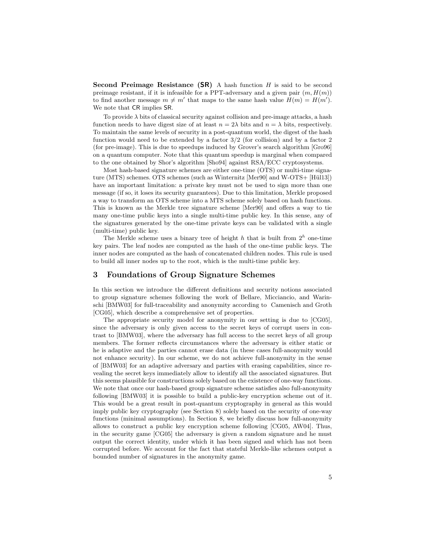**Second Preimage Resistance (SR)** A hash function  $H$  is said to be second preimage resistant, if it is infeasible for a PPT-adversary and a given pair  $(m, H(m))$ to find another message  $m \neq m'$  that maps to the same hash value  $H(m) = H(m')$ . We note that CR implies SR.

To provide  $\lambda$  bits of classical security against collision and pre-image attacks, a hash function needs to have digest size of at least  $n = 2\lambda$  bits and  $n = \lambda$  bits, respectively. To maintain the same levels of security in a post-quantum world, the digest of the hash function would need to be extended by a factor 3/2 (for collision) and by a factor 2 (for pre-image). This is due to speedups induced by Grover's search algorithm [Gro96] on a quantum computer. Note that this quantum speedup is marginal when compared to the one obtained by Shor's algorithm [Sho94] against RSA/ECC cryptosystems.

Most hash-based signature schemes are either one-time (OTS) or multi-time signature (MTS) schemes. OTS schemes (such as Winternitz  $[Mer90]$  and W-OTS+  $[Hü113]$ ) have an important limitation: a private key must not be used to sign more than one message (if so, it loses its security guarantees). Due to this limitation, Merkle proposed a way to transform an OTS scheme into a MTS scheme solely based on hash functions. This is known as the Merkle tree signature scheme [Mer90] and offers a way to tie many one-time public keys into a single multi-time public key. In this sense, any of the signatures generated by the one-time private keys can be validated with a single (multi-time) public key.

The Merkle scheme uses a binary tree of height h that is built from  $2^h$  one-time key pairs. The leaf nodes are computed as the hash of the one-time public keys. The inner nodes are computed as the hash of concatenated children nodes. This rule is used to build all inner nodes up to the root, which is the multi-time public key.

## 3 Foundations of Group Signature Schemes

In this section we introduce the different definitions and security notions associated to group signature schemes following the work of Bellare, Micciancio, and Warinschi [BMW03] for full-traceability and anonymity according to Camenisch and Groth [CG05], which describe a comprehensive set of properties.

The appropriate security model for anonymity in our setting is due to [CG05], since the adversary is only given access to the secret keys of corrupt users in contrast to [BMW03], where the adversary has full access to the secret keys of all group members. The former reflects circumstances where the adversary is either static or he is adaptive and the parties cannot erase data (in these cases full-anonymity would not enhance security). In our scheme, we do not achieve full-anonymity in the sense of [BMW03] for an adaptive adversary and parties with erasing capabilities, since revealing the secret keys immediately allow to identify all the associated signatures. But this seems plausible for constructions solely based on the existence of one-way functions. We note that once our hash-based group signature scheme satisfies also full-anonymity following [BMW03] it is possible to build a public-key encryption scheme out of it. This would be a great result in post-quantum cryptography in general as this would imply public key cryptography (see Section 8) solely based on the security of one-way functions (minimal assumptions). In Section 8, we briefly discuss how full-anonymity allows to construct a public key encryption scheme following [CG05, AW04]. Thus, in the security game [CG05] the adversary is given a random signature and he must output the correct identity, under which it has been signed and which has not been corrupted before. We account for the fact that stateful Merkle-like schemes output a bounded number of signatures in the anonymity game.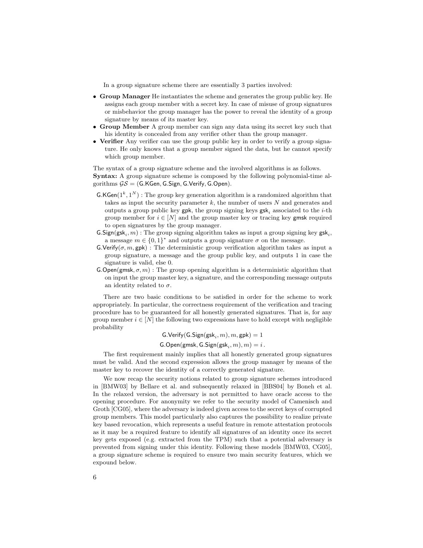In a group signature scheme there are essentially 3 parties involved:

- Group Manager He instantiates the scheme and generates the group public key. He assigns each group member with a secret key. In case of misuse of group signatures or misbehavior the group manager has the power to reveal the identity of a group signature by means of its master key.
- Group Member A group member can sign any data using its secret key such that his identity is concealed from any verifier other than the group manager.
- Verifier Any verifier can use the group public key in order to verify a group signature. He only knows that a group member signed the data, but he cannot specify which group member.

The syntax of a group signature scheme and the involved algorithms is as follows. Syntax: A group signature scheme is composed by the following polynomial-time algorithms  $GS = (G.KGen, G.Sign, G.Verify, G.Open)$ .

- $G.KGen(1^k, 1^N)$ : The group key generation algorithm is a randomized algorithm that takes as input the security parameter  $k$ , the number of users  $N$  and generates and outputs a group public key gpk, the group signing keys  $g\bar{s}k_i$  associated to the *i*-th group member for  $i \in [N]$  and the group master key or tracing key gmsk required to open signatures by the group manager.
- $\mathsf{G}.\mathsf{Sign}(\mathsf{gsk}_i, m)$ : The group signing algorithm takes as input a group signing key  $\mathsf{gsk}_i$ , a message  $m \in \{0,1\}^*$  and outputs a group signature  $\sigma$  on the message.
- $G.\text{Verify}(\sigma, m, \text{gpk})$ : The deterministic group verification algorithm takes as input a group signature, a message and the group public key, and outputs 1 in case the signature is valid, else 0.
- **G.Open(gmsk,**  $\sigma$ **, m)**: The group opening algorithm is a deterministic algorithm that on input the group master key, a signature, and the corresponding message outputs an identity related to  $\sigma$ .

There are two basic conditions to be satisfied in order for the scheme to work appropriately. In particular, the correctness requirement of the verification and tracing procedure has to be guaranteed for all honestly generated signatures. That is, for any group member  $i \in [N]$  the following two expressions have to hold except with negligible probability

# $\mathsf{G}.\mathsf{Verify}(\mathsf{G}.\mathsf{Sign}(\mathsf{gsk}_i, m), m, \mathsf{gpk}) = 1$  $\mathsf{G}.\mathsf{Open}(\mathsf{gmsk},\mathsf{G}.\mathsf{Sign}(\mathsf{gsk}_i,m),m) = i$  .

The first requirement mainly implies that all honestly generated group signatures must be valid. And the second expression allows the group manager by means of the master key to recover the identity of a correctly generated signature.

We now recap the security notions related to group signature schemes introduced in [BMW03] by Bellare et al. and subsequently relaxed in [BBS04] by Boneh et al. In the relaxed version, the adversary is not permitted to have oracle access to the opening procedure. For anonymity we refer to the security model of Camenisch and Groth [CG05], where the adversary is indeed given access to the secret keys of corrupted group members. This model particularly also captures the possibility to realize private key based revocation, which represents a useful feature in remote attestation protocols as it may be a required feature to identify all signatures of an identity once its secret key gets exposed (e.g. extracted from the TPM) such that a potential adversary is prevented from signing under this identity. Following these models [BMW03, CG05], a group signature scheme is required to ensure two main security features, which we expound below.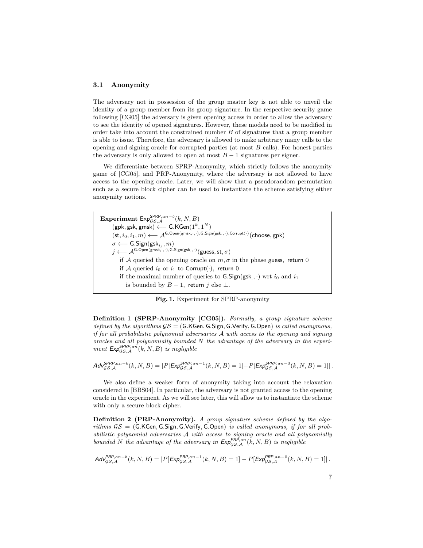#### 3.1 Anonymity

The adversary not in possession of the group master key is not able to unveil the identity of a group member from its group signature. In the respective security game following [CG05] the adversary is given opening access in order to allow the adversary to see the identity of opened signatures. However, these models need to be modified in order take into account the constrained number B of signatures that a group member is able to issue. Therefore, the adversary is allowed to make arbitrary many calls to the opening and signing oracle for corrupted parties (at most  $B$  calls). For honest parties the adversary is only allowed to open at most  $B-1$  signatures per signer.

We differentiate between SPRP-Anonymity, which strictly follows the anonymity game of [CG05], and PRP-Anonymity, where the adversary is not allowed to have access to the opening oracle. Later, we will show that a pseudorandom permutation such as a secure block cipher can be used to instantiate the scheme satisfying either anonymity notions.

Experiment  $\mathsf{Exp}_{\mathcal{GS},\mathcal{A}}^{\mathsf{SPRP},an-b}(k,N,B)$  $(gpk, gsk, gmsk) \longleftarrow G.KGen(1<sup>k</sup>, 1<sup>N</sup>)$  $(\mathsf{st}, i_0, i_1, m) \longleftarrow \mathcal{A}^{\mathsf{G}.\mathsf{Open}(\mathsf{gmsk}, \cdot, \cdot), \mathsf{G}.\mathsf{Sign}(\mathsf{gsk}, \cdot, \cdot), \mathsf{Corrupt}(\cdot)}(\mathsf{choose}, \mathsf{gpk})$  $\sigma \longleftarrow \mathsf{G}.\mathsf{Sign}(\mathsf{gsk}_{i_b},m)$  $j \longleftarrow \mathcal{A}^{\mathsf{G}.\mathsf{Open}(\mathsf{gmsk},\cdots),\mathsf{G}.\mathsf{Sign}(\mathsf{gsk},\cdots)}(\mathsf{guess},\mathsf{st},\sigma)$ if A queried the opening oracle on  $m, \sigma$  in the phase guess, return 0 if A queried  $i_0$  or  $i_1$  to Corrupt( $\cdot$ ), return 0 if the maximal number of queries to  $\textsf{G}.{\sf Sign}(\textsf{gsk}_\cdot,\cdot)$  wrt  $i_0$  and  $i_1$ is bounded by  $B-1$ , return j else  $\perp$ .

Fig. 1. Experiment for SPRP-anonymity

Definition 1 (SPRP-Anonymity [CG05]). Formally, a group signature scheme defined by the algorithms  $\mathcal{GS} = (\mathsf{G}.\mathsf{KGen}, \mathsf{G}.\mathsf{Sign}, \mathsf{G}.\mathsf{Verify}, \mathsf{G}.\mathsf{Open})$  is called anonymous, if for all probabilistic polynomial adversaries  $A$  with access to the opening and signing oracles and all polynomially bounded  $N$  the advantage of the adversary in the experiment  $Exp_{GS,A}^{SPRP,an}(k, N, B)$  is negligible

$$
\mathsf{Adv}_{\mathcal{GS},\mathcal{A}}^{\mathsf{SPRP},an-b}(k,N,B)=|P[\mathsf{Exp}_{\mathcal{GS},\mathcal{A}}^{\mathsf{SPRP},an-1}(k,N,B)=1]-P[\mathsf{Exp}_{\mathcal{GS},\mathcal{A}}^{\mathsf{SPRP},an-0}(k,N,B)=1]|.
$$

We also define a weaker form of anonymity taking into account the relaxation considered in [BBS04]. In particular, the adversary is not granted access to the opening oracle in the experiment. As we will see later, this will allow us to instantiate the scheme with only a secure block cipher.

Definition 2 (PRP-Anonymity). A group signature scheme defined by the algorithms  $GS = (G.KGen, G.Sign, G.Verify, G.Open)$  is called anonymous, if for all probabilistic polynomial adversaries A with access to signing oracle and all polynomially bounded N the advantage of the adversary in  $Exp_{\mathcal{GS},\mathcal{A}}^{PRP,an}(k,N,B)$  is negligible

$$
Adv_{GS,A}^{PRP,an-b}(k, N, B) = |P[Exp_{GS,A}^{PRP,an-1}(k, N, B) = 1] - P[Exp_{GS,A}^{PRP,an-0}(k, N, B) = 1]|.
$$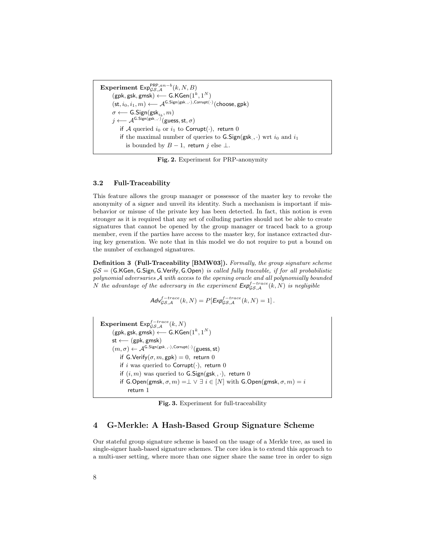Experiment  $\mathsf{Exp}^{\mathsf{PRP},an-b}_{\mathcal{GS},\mathcal{A}}(k,N,B)$  $(gpk, gsk, gmsk) \longleftarrow G.KGen(1<sup>k</sup>, 1<sup>N</sup>)$  $(\mathsf{st}, i_0, i_1, m) \longleftarrow \mathcal{A}^{\mathsf{G}.\mathsf{Sign}(\mathsf{g}\mathsf{sk}, \cdot,\cdot),\mathsf{Corrupt}(\cdot)}(\mathsf{choose}, \mathsf{g}\mathsf{pk})$  $\sigma \longleftarrow \mathsf{G}.\mathsf{Sign}(\mathsf{gsk}_{i_b},m)$  $j \longleftarrow \mathcal{A}^{\mathsf{G.Sign(gsk., \cdot)}}(\textsf{guess}, \textsf{st}, \sigma)$ if A queried  $i_0$  or  $i_1$  to Corrupt( $\cdot$ ), return 0 if the maximal number of queries to  $\textsf{G}.{\sf Sign}(\textsf{gsk}_\cdot,\cdot)$  wrt  $i_0$  and  $i_1$ is bounded by  $B - 1$ , return j else  $\perp$ .

Fig. 2. Experiment for PRP-anonymity

#### 3.2 Full-Traceability

This feature allows the group manager or possessor of the master key to revoke the anonymity of a signer and unveil its identity. Such a mechanism is important if misbehavior or misuse of the private key has been detected. In fact, this notion is even stronger as it is required that any set of colluding parties should not be able to create signatures that cannot be opened by the group manager or traced back to a group member, even if the parties have access to the master key, for instance extracted during key generation. We note that in this model we do not require to put a bound on the number of exchanged signatures.

Definition 3 (Full-Traceability [BMW03]). Formally, the group signature scheme  $\mathcal{GS} = (\mathsf{G.KGen}, \mathsf{G.Sign}, \mathsf{G.Verify}, \mathsf{G.Open})$  is called fully traceable, if for all probabilistic polynomial adversaries A with access to the opening oracle and all polynomially bounded N the advantage of the adversary in the experiment  $\mathsf{Exp}^{f-trace}_{\mathcal{GS},\mathcal{A}}(k,N)$  is negligible

$$
Adv_{\mathcal{GS},\mathcal{A}}^{f-trace}(k,N) = P[\mathsf{Exp}_{\mathcal{GS},\mathcal{A}}^{f-trace}(k,N) = 1].
$$

Experiment  $\mathsf{Exp}^{f-trace}_{\mathcal{GS},\mathcal{A}}(k,N)$  $(gpk, gsk, gmsk) \longleftarrow G.KGen(1<sup>k</sup>, 1<sup>N</sup>)$ st ←− (gpk, gmsk)  $(m, \sigma) \leftarrow \mathcal{A}^{\mathsf{G}.\mathsf{Sign}(\mathsf{gsk.}, \cdot),\mathsf{Corrupt}(\cdot)}(\mathsf{guess}, \mathsf{st})$ if G.Verify $(\sigma, m, \text{gpk}) = 0$ , return 0 if i was queried to Corrupt( $\cdot$ ), return 0 if  $(i, m)$  was queried to  $\mathsf{G}.\mathsf{Sign}(\mathsf{gsk}_\cdot, \cdot),$  return  $0$ if G.Open(gmsk,  $\sigma$ ,  $m$ ) = $\bot \vee \exists i \in [N]$  with G.Open(gmsk,  $\sigma$ ,  $m$ ) = i return 1

Fig. 3. Experiment for full-traceability

# 4 G-Merkle: A Hash-Based Group Signature Scheme

Our stateful group signature scheme is based on the usage of a Merkle tree, as used in single-signer hash-based signature schemes. The core idea is to extend this approach to a multi-user setting, where more than one signer share the same tree in order to sign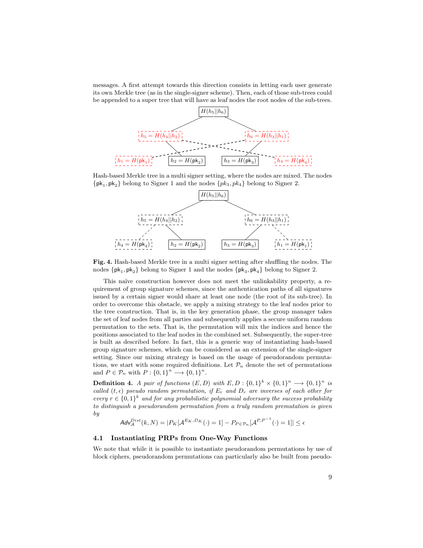messages. A first attempt towards this direction consists in letting each user generate its own Merkle tree (as in the single-signer scheme). Then, each of those sub-trees could be appended to a super tree that will have as leaf nodes the root nodes of the sub-trees.



Hash-based Merkle tree in a multi signer setting, where the nodes are mixed. The nodes  $\{pk_1, pk_2\}$  belong to Signer 1 and the nodes  $\{pk_3, pk_4\}$  belong to Signer 2.



Fig. 4. Hash-based Merkle tree in a multi signer setting after shuffling the nodes. The nodes  $\{pk_1, pk_2\}$  belong to Signer 1 and the nodes  $\{pk_3, pk_4\}$  belong to Signer 2.

This naïve construction however does not meet the unlinkability property, a requirement of group signature schemes, since the authentication paths of all signatures issued by a certain signer would share at least one node (the root of its sub-tree). In order to overcome this obstacle, we apply a mixing strategy to the leaf nodes prior to the tree construction. That is, in the key generation phase, the group manager takes the set of leaf nodes from all parties and subsequently applies a secure uniform random permutation to the sets. That is, the permutation will mix the indices and hence the positions associated to the leaf nodes in the combined set. Subsequently, the super-tree is built as described before. In fact, this is a generic way of instantiating hash-based group signature schemes, which can be considered as an extension of the single-signer setting. Since our mixing strategy is based on the usage of pseudorandom permutations, we start with some required definitions. Let  $\mathcal{P}_n$  denote the set of permutations and  $P \in \mathcal{P}_n$  with  $P: \{0,1\}^n \longrightarrow \{0,1\}^n$ .

**Definition 4.** A pair of functions  $(E, D)$  with  $E, D: \{0, 1\}^k \times \{0, 1\}^n \longrightarrow \{0, 1\}^n$  is called  $(t, \epsilon)$  pseudo random permutation, if  $E_r$  and  $D_r$  are inverses of each other for every  $r \in \{0,1\}^k$  and for any probabilistic polynomial adversary the success probability to distinguish a pseudorandom permutation from a truly random premutation is given by

$$
\mathsf{Adv}_{\mathcal{A}}^{Dist}(k,N) = |P_K[\mathcal{A}^{E_K,D_K}(\cdot)=1] - P_{P \in \mathcal{P}_n}[\mathcal{A}^{P,P^{-1}}(\cdot)=1]| \le \epsilon
$$

## 4.1 Instantiating PRPs from One-Way Functions

We note that while it is possible to instantiate pseudorandom permutations by use of block ciphers, pseudorandom permutations can particularly also be built from pseudo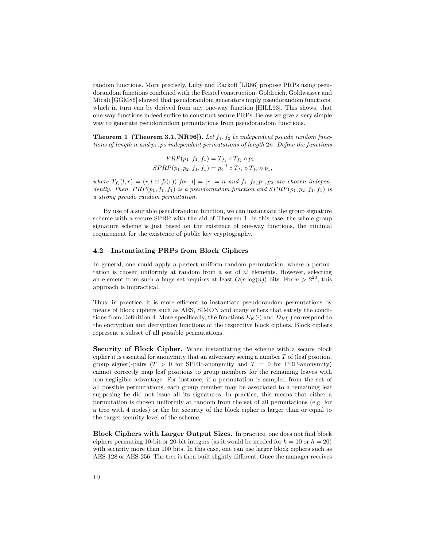random functions. More precisely, Luby and Rackoff [LR86] propose PRPs using pseudorandom functions combined with the Feistel construction. Goldreich, Goldwasser and Micali [GGM86] showed that pseudorandom generators imply pseudorandom functions, which in turn can be derived from any one-way function [HILL93]. This shows, that one-way functions indeed suffice to construct secure PRPs. Below we give a very simple way to generate pseudorandom permutations from pseudorandom functions.

**Theorem 1 (Theorem 3.1, [NR96]).** Let  $f_1, f_2$  be independent pseudo random functions of length n and  $p_1, p_2$  independent permutations of length  $2n$ . Define the functions

$$
PRP(p_1, f_1, f_1) = T_{f_1} \circ T_{f_2} \circ p_1
$$
  
\n
$$
SPRP(p_1, p_2, f_1, f_1) = p_2^{-1} \circ T_{f_1} \circ T_{f_2} \circ p_1,
$$

where  $T_{f_i}(l,r) = (r, l \oplus f_i(r))$  for  $|l| = |r| = n$  and  $f_1, f_2, p_1, p_2$  are chosen independently. Then,  $PRP(p_1, f_1, f_1)$  is a pseudorandom function and  $SPRP(p_1, p_2, f_1, f_1)$  is a strong pseudo random permutation.

By use of a suitable pseudorandom function, we can instantiate the group signature scheme with a secure SPRP with the aid of Theorem 1. In this case, the whole group signature scheme is just based on the existence of one-way functions, the minimal requirement for the existence of public key cryptography.

## 4.2 Instantiating PRPs from Block Ciphers

In general, one could apply a perfect uniform random permutation, where a permutation is chosen uniformly at random from a set of  $n!$  elements. However, selecting an element from such a huge set requires at least  $O(n \log(n))$  bits. For  $n > 2^{20}$ , this approach is impractical.

Thus, in practice, it is more efficient to instantiate pseudorandom permutations by means of block ciphers such as AES, SIMON and many others that satisfy the conditions from Definition 4. More specifically, the functions  $E_K(\cdot)$  and  $D_K(\cdot)$  correspond to the encryption and decryption functions of the respective block ciphers. Block ciphers represent a subset of all possible permutations.

Security of Block Cipher. When instantiating the scheme with a secure block cipher it is essential for anonymity that an adversary seeing a number  $T$  of (leaf position, group signer)-pairs ( $T > 0$  for SPRP-anonymity and  $T = 0$  for PRP-anonymity) cannot correctly map leaf positions to group members for the remaining leaves with non-negligible advantage. For instance, if a permutation is sampled from the set of all possible permutations, each group member may be associated to a remaining leaf supposing he did not issue all its signatures. In practice, this means that either a permutation is chosen uniformly at random from the set of all permutations (e.g. for a tree with 4 nodes) or the bit security of the block cipher is larger than or equal to the target security level of the scheme.

Block Ciphers with Larger Output Sizes. In practice, one does not find block ciphers permuting 10-bit or 20-bit integers (as it would be needed for  $h = 10$  or  $h = 20$ ) with security more than 100 bits. In this case, one can use larger block ciphers such as AES-128 or AES-256. The tree is then built slightly different. Once the manager receives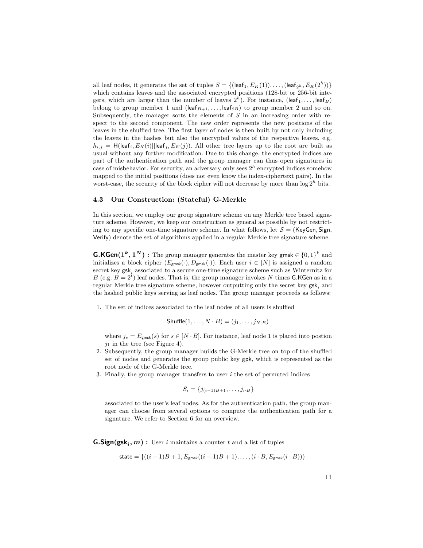all leaf nodes, it generates the set of tuples  $S = \{(\mathsf{leaf}_1, E_K(1)), \ldots, (\mathsf{leaf}_{2^h}, E_K(2^h))\}$ which contains leaves and the associated encrypted positions  $(128$ -bit or  $256$ -bit integers, which are larger than the number of leaves  $2<sup>h</sup>$ ). For instance, (leaf<sub>1</sub>,..., leaf<sub>B</sub>) belong to group member 1 and (leaf $_{B+1}$ , ..., leaf<sub>2B</sub>) to group member 2 and so on. Subsequently, the manager sorts the elements of  $S$  in an increasing order with respect to the second component. The new order represents the new positions of the leaves in the shuffled tree. The first layer of nodes is then built by not only including the leaves in the hashes but also the encrypted values of the respective leaves, e.g.  $h_{i,j} = H(\text{leaf}_i, E_K(i)) | \text{leaf}_i, E_K(j))$ . All other tree layers up to the root are built as usual without any further modification. Due to this change, the encrypted indices are part of the authentication path and the group manager can thus open signatures in case of misbehavior. For security, an adversary only sees  $2<sup>h</sup>$  encrypted indices somehow mapped to the initial positions (does not even know the index-ciphertext pairs). In the worst-case, the security of the block cipher will not decrease by more than  $\log 2^h$  bits.

#### 4.3 Our Construction: (Stateful) G-Merkle

In this section, we employ our group signature scheme on any Merkle tree based signature scheme. However, we keep our construction as general as possible by not restricting to any specific one-time signature scheme. In what follows, let  $S =$  (KeyGen, Sign, Verify) denote the set of algorithms applied in a regular Merkle tree signature scheme.

**G.KGen** $(1^k, 1^N)$ : The group manager generates the master key gmsk  $\in \{0,1\}^k$  and initializes a block cipher  $(E_{\text{gmsk}}(\cdot), D_{\text{gmsk}}(\cdot))$ . Each user  $i \in [N]$  is assigned a random secret key  $g$ sk<sub>i</sub> associated to a secure one-time signature scheme such as Winternitz for B (e.g.  $B = 2<sup>t</sup>$ ) leaf nodes. That is, the group manager invokes N times G.KGen as in a regular Merkle tree signature scheme, however outputting only the secret key gsk, and the hashed public keys serving as leaf nodes. The group manager proceeds as follows:

1. The set of indices associated to the leaf nodes of all users is shuffled

$$
\mathsf{Shuffle}(1,\ldots,N\cdot B)=(j_1,\ldots,j_{N\cdot B})
$$

where  $j_s = E_{\text{gmsk}}(s)$  for  $s \in [N \cdot B]$ . For instance, leaf node 1 is placed into postion  $j_1$  in the tree (see Figure 4).

- 2. Subsequently, the group manager builds the G-Merkle tree on top of the shuffled set of nodes and generates the group public key gpk, which is represented as the root node of the G-Merkle tree.
- 3. Finally, the group manager transfers to user  $i$  the set of permuted indices

$$
S_i = \{j_{(i-1)B+1}, \ldots, j_{i \cdot B}\}
$$

associated to the user's leaf nodes. As for the authentication path, the group manager can choose from several options to compute the authentication path for a signature. We refer to Section 6 for an overview.

 $\operatorname{\mathsf{G.Sign}}(\operatorname{\mathsf{gsk}}_i, m) : \text{User } i \text{ maintains a counter } t \text{ and a list of tuples}$ 

state = {
$$
((i - 1)B + 1, E_{\text{gmsk}}((i - 1)B + 1), ..., (i \cdot B, E_{\text{gmsk}}(i \cdot B))
$$
}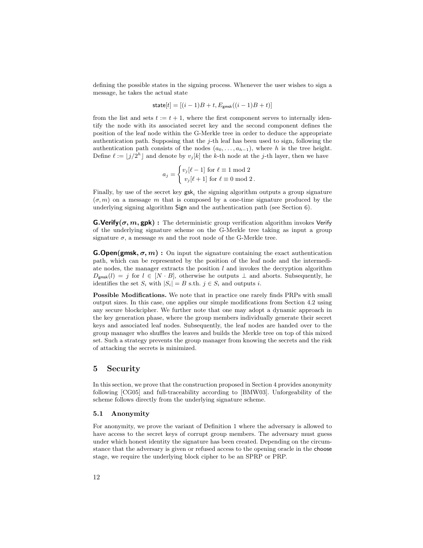defining the possible states in the signing process. Whenever the user wishes to sign a message, he takes the actual state

$$
state[t] = [(i - 1)B + t, E_{\text{gmsk}}((i - 1)B + t)]
$$

from the list and sets  $t := t + 1$ , where the first component serves to internally identify the node with its associated secret key and the second component defines the position of the leaf node within the G-Merkle tree in order to deduce the appropriate authentication path. Supposing that the  $j$ -th leaf has been used to sign, following the authentication path consists of the nodes  $(a_0, \ldots, a_{h-1})$ , where h is the tree height. Define  $\ell := \lfloor j/2^h \rfloor$  and denote by  $v_j[k]$  the k-th node at the j-th layer, then we have

$$
a_j = \begin{cases} v_j[\ell-1] \text{ for } \ell \equiv 1 \text{ mod } 2 \\ v_j[\ell+1] \text{ for } \ell \equiv 0 \text{ mod } 2 \end{cases}
$$

Finally, by use of the secret key  $gsk_i$  the signing algorithm outputs a group signature  $(\sigma, m)$  on a message m that is composed by a one-time signature produced by the underlying signing algorithm Sign and the authentication path (see Section 6).

**G.Verify**  $(\sigma, m, g$ **pk**) : The deterministic group verification algorithm invokes Verify of the underlying signature scheme on the G-Merkle tree taking as input a group signature  $\sigma$ , a message m and the root node of the G-Merkle tree.

**G.Open(gmsk,**  $\sigma$ **, m)** : On input the signature containing the exact authentication path, which can be represented by the position of the leaf node and the intermediate nodes, the manager extracts the position  $l$  and invokes the decryption algorithm  $D_{\text{gmsk}}(l) = j$  for  $l \in [N \cdot B]$ , otherwise he outputs  $\perp$  and aborts. Subsequently, he identifies the set  $S_i$  with  $|S_i| = B$  s.th.  $j \in S_i$  and outputs i.

Possible Modifications. We note that in practice one rarely finds PRPs with small output sizes. In this case, one applies our simple modifications from Section 4.2 using any secure blockcipher. We further note that one may adopt a dynamic approach in the key generation phase, where the group members individually generate their secret keys and associated leaf nodes. Subsequently, the leaf nodes are handed over to the group manager who shuffles the leaves and builds the Merkle tree on top of this mixed set. Such a strategy prevents the group manager from knowing the secrets and the risk of attacking the secrets is minimized.

# 5 Security

In this section, we prove that the construction proposed in Section 4 provides anonymity following [CG05] and full-traceability according to [BMW03]. Unforgeability of the scheme follows directly from the underlying signature scheme.

#### 5.1 Anonymity

For anonymity, we prove the variant of Definition 1 where the adversary is allowed to have access to the secret keys of corrupt group members. The adversary must guess under which honest identity the signature has been created. Depending on the circumstance that the adversary is given or refused access to the opening oracle in the choose stage, we require the underlying block cipher to be an SPRP or PRP.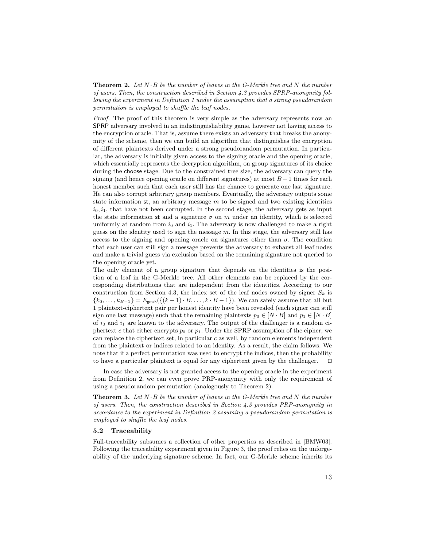**Theorem 2.** Let  $N \cdot B$  be the number of leaves in the G-Merkle tree and N the number of users. Then, the construction described in Section 4.3 provides SPRP-anonymity following the experiment in Definition 1 under the assumption that a strong pseudorandom permutation is employed to shuffle the leaf nodes.

Proof. The proof of this theorem is very simple as the adversary represents now an SPRP adversary involved in an indistinguishability game, however not having access to the encryption oracle. That is, assume there exists an adversary that breaks the anonymity of the scheme, then we can build an algorithm that distinguishes the encryption of different plaintexts derived under a strong pseudorandom permutation. In particular, the adversary is initially given access to the signing oracle and the opening oracle, which essentially represents the decryption algorithm, on group signatures of its choice during the choose stage. Due to the constrained tree size, the adversary can query the signing (and hence opening oracle on different signatures) at most  $B-1$  times for each honest member such that each user still has the chance to generate one last signature. He can also corrupt arbitrary group members. Eventually, the adversary outputs some state information  $st$ , an arbitrary message  $m$  to be signed and two existing identities  $i_0, i_1$ , that have not been corrupted. In the second stage, the adversary gets as input the state information st and a signature  $\sigma$  on m under an identity, which is selected uniformly at random from  $i_0$  and  $i_1$ . The adversary is now challenged to make a right guess on the identity used to sign the message  $m$ . In this stage, the adversary still has access to the signing and opening oracle on signatures other than  $\sigma$ . The condition that each user can still sign a message prevents the adversary to exhaust all leaf nodes and make a trivial guess via exclusion based on the remaining signature not queried to the opening oracle yet.

The only element of a group signature that depends on the identities is the position of a leaf in the G-Merkle tree. All other elements can be replaced by the corresponding distributions that are independent from the identities. According to our construction from Section 4.3, the index set of the leaf nodes owned by signer  $S_k$  is  ${k_0, \ldots, k_{B-1}} = E_{\text{gmsk}}({(k-1) \cdot B, \ldots, k \cdot B-1}).$  We can safely assume that all but 1 plaintext-ciphertext pair per honest identity have been revealed (each signer can still sign one last message) such that the remaining plaintexts  $p_0 \in [N \cdot B]$  and  $p_1 \in [N \cdot B]$ of  $i_0$  and  $i_1$  are known to the adversary. The output of the challenger is a random ciphertext c that either encrypts  $p_0$  or  $p_1$ . Under the SPRP assumption of the cipher, we can replace the ciphertext set, in particular  $c$  as well, by random elements independent from the plaintext or indices related to an identity. As a result, the claim follows. We note that if a perfect permutation was used to encrypt the indices, then the probability to have a particular plaintext is equal for any ciphertext given by the challenger.  $\square$ 

In case the adversary is not granted access to the opening oracle in the experiment from Definition 2, we can even prove PRP-anonymity with only the requirement of using a pseudorandom permutation (analogously to Theorem 2).

**Theorem 3.** Let  $N \cdot B$  be the number of leaves in the G-Merkle tree and N the number of users. Then, the construction described in Section 4.3 provides PRP-anonymity in accordance to the experiment in Definition 2 assuming a pseudorandom permutation is employed to shuffle the leaf nodes.

## 5.2 Traceability

Full-traceability subsumes a collection of other properties as described in [BMW03]. Following the traceability experiment given in Figure 3, the proof relies on the unforgeability of the underlying signature scheme. In fact, our G-Merkle scheme inherits its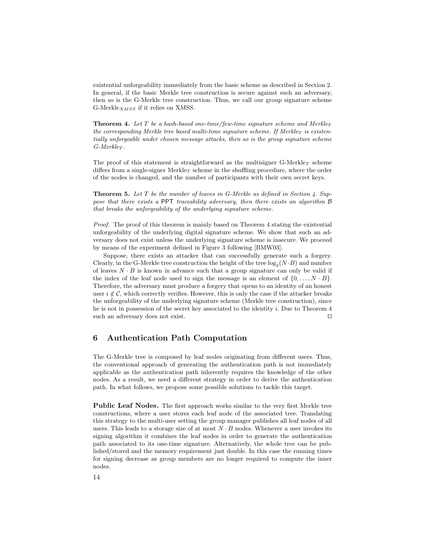existential unforgeability immediately from the basic scheme as described in Section 2. In general, if the basic Merkle tree construction is secure against such an adversary, then so is the G-Merkle tree construction. Thus, we call our group signature scheme G-Merkle $X$ *MSS* if it relies on XMSS.

**Theorem 4.** Let T be a hash-based one-time/few-time signature scheme and Merkler the corresponding Merkle tree based multi-time signature scheme. If Merkle<sub>T</sub> is existentially unforgeable under chosen message attacks, then so is the group signature scheme  $G$ -Merkle $\tau$ .

The proof of this statement is straightforward as the multisigner  $G-Merkle<sub>T</sub>$  scheme differs from a single-signer Merkle<sub>T</sub> scheme in the shuffling procedure, where the order of the nodes is changed, and the number of participants with their own secret keys.

**Theorem 5.** Let  $T$  be the number of leaves in  $G$ -Merkle as defined in Section 4. Suppose that there exists a PPT traceability adversary, then there exists an algorithm B that breaks the unforgeability of the underlying signature scheme.

Proof. The proof of this theorem is mainly based on Theorem 4 stating the existential unforgeability of the underlying digital signature scheme. We show that such an adversary does not exist unless the underlying signature scheme is insecure. We proceed by means of the experiment defined in Figure 3 following [BMW03].

Suppose, there exists an attacker that can successfully generate such a forgery. Clearly, in the G-Merkle tree construction the height of the tree  $\log_2(N \cdot B)$  and number of leaves  $N \cdot B$  is known in advance such that a group signature can only be valid if the index of the leaf node used to sign the message is an element of  $\{0, \ldots, N \cdot B\}$ . Therefore, the adversary must produce a forgery that opens to an identity of an honest user  $i \notin \mathcal{C}$ , which correctly verifies. However, this is only the case if the attacker breaks the unforgeability of the underlying signature scheme (Merkle tree construction), since he is not in possession of the secret key associated to the identity i. Due to Theorem 4 such an adversary does not exist.  $\Box$ 

# 6 Authentication Path Computation

The G-Merkle tree is composed by leaf nodes originating from different users. Thus, the conventional approach of generating the authentication path is not immediately applicable as the authentication path inherently requires the knowledge of the other nodes. As a result, we need a different strategy in order to derive the authentication path. In what follows, we propose some possible solutions to tackle this target.

Public Leaf Nodes. The first approach works similar to the very first Merkle tree constructions, where a user stores each leaf node of the associated tree. Translating this strategy to the multi-user setting the group manager publishes all leaf nodes of all users. This leads to a storage size of at most  $N \cdot B$  nodes. Whenever a user invokes its signing algorithm it combines the leaf nodes in order to generate the authentication path associated to its one-time signature. Alternatively, the whole tree can be published/stored and the memory requirement just double. In this case the running times for signing decrease as group members are no longer required to compute the inner nodes.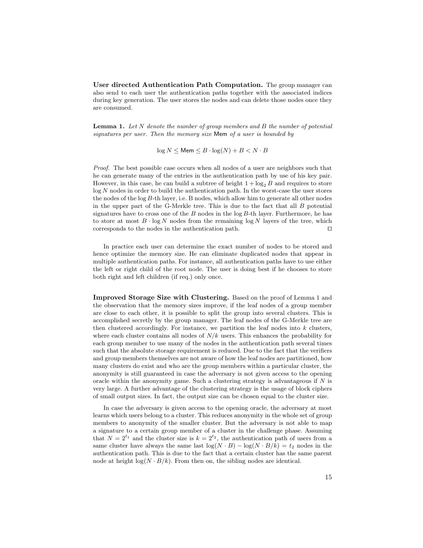User directed Authentication Path Computation. The group manager can also send to each user the authentication paths together with the associated indices during key generation. The user stores the nodes and can delete those nodes once they are consumed.

**Lemma 1.** Let  $N$  denote the number of group members and  $B$  the number of potential signatures per user. Then the memory size Mem of a user is bounded by

 $\log N \leq$  Mem  $\leq B \cdot \log(N) + B < N \cdot B$ 

Proof. The best possible case occurs when all nodes of a user are neighbors such that he can generate many of the entries in the authentication path by use of his key pair. However, in this case, he can build a subtree of height  $1 + \log_2 B$  and requires to store  $log N$  nodes in order to build the authentication path. In the worst-case the user stores the nodes of the log B-th layer, i.e. B nodes, which allow him to generate all other nodes in the upper part of the G-Merkle tree. This is due to the fact that all  $B$  potential signatures have to cross one of the  $B$  nodes in the log  $B$ -th layer. Furthermore, he has to store at most  $B \cdot \log N$  nodes from the remaining  $\log N$  layers of the tree, which corresponds to the nodes in the authentication path.  $\Box$ 

In practice each user can determine the exact number of nodes to be stored and hence optimize the memory size. He can eliminate duplicated nodes that appear in multiple authentication paths. For instance, all authentication paths have to use either the left or right child of the root node. The user is doing best if he chooses to store both right and left children (if req.) only once.

Improved Storage Size with Clustering. Based on the proof of Lemma 1 and the observation that the memory sizes improve, if the leaf nodes of a group member are close to each other, it is possible to split the group into several clusters. This is accomplished secretly by the group manager. The leaf nodes of the G-Merkle tree are then clustered accordingly. For instance, we partition the leaf nodes into  $k$  clusters, where each cluster contains all nodes of  $N/k$  users. This enhances the probability for each group member to use many of the nodes in the authentication path several times such that the absolute storage requirement is reduced. Due to the fact that the verifiers and group members themselves are not aware of how the leaf nodes are partitioned, how many clusters do exist and who are the group members within a particular cluster, the anonymity is still guaranteed in case the adversary is not given access to the opening oracle within the anonymity game. Such a clustering strategy is advantageous if  $N$  is very large. A further advantage of the clustering strategy is the usage of block ciphers of small output sizes. In fact, the output size can be chosen equal to the cluster size.

In case the adversary is given access to the opening oracle, the adversary at most learns which users belong to a cluster. This reduces anonymity in the whole set of group members to anonymity of the smaller cluster. But the adversary is not able to map a signature to a certain group member of a cluster in the challenge phase. Assuming that  $N = 2^{t_1}$  and the cluster size is  $k = 2^{t_2}$ , the authentication path of users from a same cluster have always the same last  $\log(N \cdot B) - \log(N \cdot B/k) = t_2$  nodes in the authentication path. This is due to the fact that a certain cluster has the same parent node at height  $log(N \cdot B/k)$ . From then on, the sibling nodes are identical.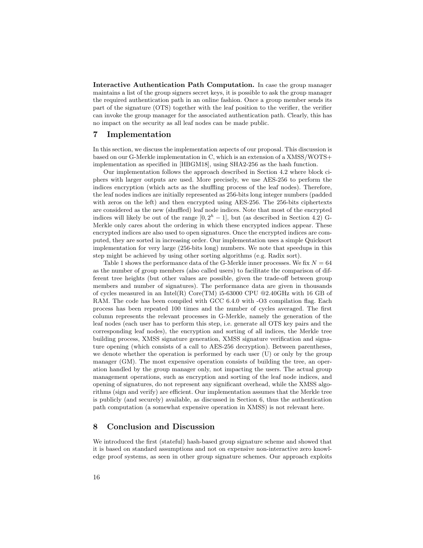Interactive Authentication Path Computation. In case the group manager maintains a list of the group signers secret keys, it is possible to ask the group manager the required authentication path in an online fashion. Once a group member sends its part of the signature (OTS) together with the leaf position to the verifier, the verifier can invoke the group manager for the associated authentication path. Clearly, this has no impact on the security as all leaf nodes can be made public.

## 7 Implementation

In this section, we discuss the implementation aspects of our proposal. This discussion is based on our G-Merkle implementation in C, which is an extension of a XMSS/WOTS+ implementation as specified in [HBGM18], using SHA2-256 as the hash function.

Our implementation follows the approach described in Section 4.2 where block ciphers with larger outputs are used. More precisely, we use AES-256 to perform the indices encryption (which acts as the shuffling process of the leaf nodes). Therefore, the leaf nodes indices are initially represented as 256-bits long integer numbers (padded with zeros on the left) and then encrypted using AES-256. The 256-bits ciphertexts are considered as the new (shuffled) leaf node indices. Note that most of the encrypted indices will likely be out of the range  $[0, 2<sup>h</sup> - 1]$ , but (as described in Section 4.2) G-Merkle only cares about the ordering in which these encrypted indices appear. These encrypted indices are also used to open signatures. Once the encrypted indices are computed, they are sorted in increasing order. Our implementation uses a simple Quicksort implementation for very large (256-bits long) numbers. We note that speedups in this step might be achieved by using other sorting algorithms (e.g. Radix sort).

Table 1 shows the performance data of the G-Merkle inner processes. We fix  $N = 64$ as the number of group members (also called users) to facilitate the comparison of different tree heights (but other values are possible, given the trade-off between group members and number of signatures). The performance data are given in thousands of cycles measured in an Intel(R) Core(TM) i5-63000 CPU @2.40GHz with 16 GB of RAM. The code has been compiled with GCC 6.4.0 with -O3 compilation flag. Each process has been repeated 100 times and the number of cycles averaged. The first column represents the relevant processes in G-Merkle, namely the generation of the leaf nodes (each user has to perform this step, i.e. generate all OTS key pairs and the corresponding leaf nodes), the encryption and sorting of all indices, the Merkle tree building process, XMSS signature generation, XMSS signature verification and signature opening (which consists of a call to AES-256 decryption). Between parentheses, we denote whether the operation is performed by each user (U) or only by the group manager (GM). The most expensive operation consists of building the tree, an operation handled by the group manager only, not impacting the users. The actual group management operations, such as encryption and sorting of the leaf node indices, and opening of signatures, do not represent any significant overhead, while the XMSS algorithms (sign and verify) are efficient. Our implementation assumes that the Merkle tree is publicly (and securely) available, as discussed in Section 6, thus the authentication path computation (a somewhat expensive operation in XMSS) is not relevant here.

## 8 Conclusion and Discussion

We introduced the first (stateful) hash-based group signature scheme and showed that it is based on standard assumptions and not on expensive non-interactive zero knowledge proof systems, as seen in other group signature schemes. Our approach exploits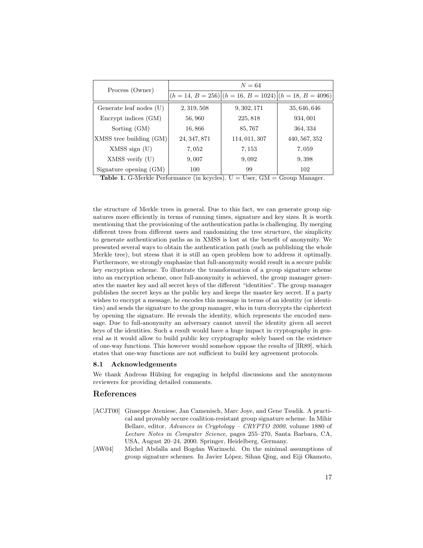| Process (Owner)         | $N=64$       |                                                                         |               |
|-------------------------|--------------|-------------------------------------------------------------------------|---------------|
|                         |              | $(h = 14, B = 256)$ $\vert (h = 16, B = 1024) \vert (h = 18, B = 4096)$ |               |
| Generate leaf nodes (U) | 2, 319, 508  | 9, 302, 171                                                             | 35, 646, 646  |
| Encrypt indices (GM)    | 56,960       | 225, 818                                                                | 934,001       |
| Sorting (GM)            | 16,866       | 85,767                                                                  | 364, 334      |
| XMSS tree building (GM) | 24, 347, 871 | 114, 011, 307                                                           | 440, 567, 352 |
| $XMSS$ sign $(U)$       | 7,052        | 7, 153                                                                  | 7,059         |
| $XMSS$ verify $(U)$     | 9,007        | 9,092                                                                   | 9,398         |
| Signature opening (GM)  | 100          | 99                                                                      | 102           |

Table 1. G-Merkle Performance (in kcycles).  $U =$  User,  $GM =$  Group Manager.

the structure of Merkle trees in general. Due to this fact, we can generate group signatures more efficiently in terms of running times, signature and key sizes. It is worth mentioning that the provisioning of the authentication paths is challenging. By merging different trees from different users and randomizing the tree structure, the simplicity to generate authentication paths as in XMSS is lost at the benefit of anonymity. We presented several ways to obtain the authentication path (such as publishing the whole Merkle tree), but stress that it is still an open problem how to address it optimally. Furthermore, we strongly emphasize that full-anonymity would result in a secure public key encryption scheme. To illustrate the transformation of a group signature scheme into an encryption scheme, once full-anonymity is achieved, the group manager generates the master key and all secret keys of the different "identities". The group manager publishes the secret keys as the public key and keeps the master key secret. If a party wishes to encrypt a message, he encodes this message in terms of an identity (or identities) and sends the signature to the group manager, who in turn decrypts the ciphertext by opening the signature. He reveals the identity, which represents the encoded message. Due to full-anonymity an adversary cannot unveil the identity given all secret keys of the identities. Such a result would have a huge impact in cryptography in general as it would allow to build public key cryptography solely based on the existence of one-way functions. This however would somehow oppose the results of [IR89], which states that one-way functions are not sufficient to build key agreement protocols.

#### 8.1 Acknowledgements

We thank Andreas Hülsing for engaging in helpful discussions and the anonymous reviewers for providing detailed comments.

## References

- [ACJT00] Giuseppe Ateniese, Jan Camenisch, Marc Joye, and Gene Tsudik. A practical and provably secure coalition-resistant group signature scheme. In Mihir Bellare, editor, Advances in Cryptology – CRYPTO 2000, volume 1880 of Lecture Notes in Computer Science, pages 255–270, Santa Barbara, CA, USA, August 20–24, 2000. Springer, Heidelberg, Germany.
- [AW04] Michel Abdalla and Bogdan Warinschi. On the minimal assumptions of group signature schemes. In Javier López, Sihan Qing, and Eiji Okamoto,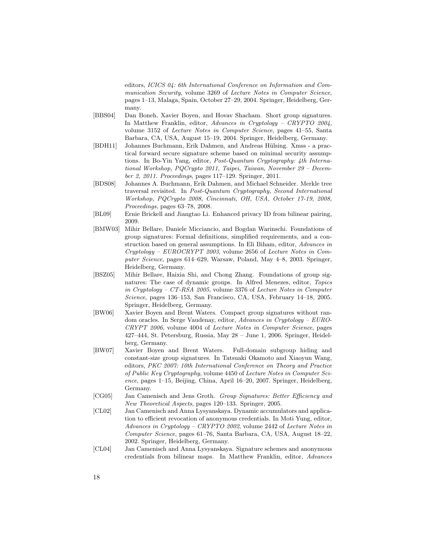editors, ICICS 04: 6th International Conference on Information and Communication Security, volume 3269 of Lecture Notes in Computer Science, pages 1–13, Malaga, Spain, October 27–29, 2004. Springer, Heidelberg, Germany.

- [BBS04] Dan Boneh, Xavier Boyen, and Hovav Shacham. Short group signatures. In Matthew Franklin, editor, Advances in Cryptology – CRYPTO 2004, volume 3152 of Lecture Notes in Computer Science, pages 41–55, Santa Barbara, CA, USA, August 15–19, 2004. Springer, Heidelberg, Germany.
- [BDH11] Johannes Buchmann, Erik Dahmen, and Andreas Hülsing. Xmss a practical forward secure signature scheme based on minimal security assumptions. In Bo-Yin Yang, editor, Post-Quantum Cryptography: 4th International Workshop, PQCrypto 2011, Taipei, Taiwan, November 29 – December 2, 2011. Proceedings, pages 117–129. Springer, 2011.
- [BDS08] Johannes A. Buchmann, Erik Dahmen, and Michael Schneider. Merkle tree traversal revisited. In Post-Quantum Cryptography, Second International Workshop, PQCrypto 2008, Cincinnati, OH, USA, October 17-19, 2008, Proceedings, pages 63–78, 2008.
- [BL09] Ernie Brickell and Jiangtao Li. Enhanced privacy ID from bilinear pairing, 2009.
- [BMW03] Mihir Bellare, Daniele Micciancio, and Bogdan Warinschi. Foundations of group signatures: Formal definitions, simplified requirements, and a construction based on general assumptions. In Eli Biham, editor, Advances in Cryptology – EUROCRYPT 2003, volume 2656 of Lecture Notes in Computer Science, pages 614–629, Warsaw, Poland, May 4–8, 2003. Springer, Heidelberg, Germany.
- [BSZ05] Mihir Bellare, Haixia Shi, and Chong Zhang. Foundations of group signatures: The case of dynamic groups. In Alfred Menezes, editor, Topics in Cryptology – CT-RSA 2005, volume 3376 of Lecture Notes in Computer Science, pages 136–153, San Francisco, CA, USA, February 14–18, 2005. Springer, Heidelberg, Germany.
- [BW06] Xavier Boyen and Brent Waters. Compact group signatures without random oracles. In Serge Vaudenay, editor, Advances in Cryptology – EURO-CRYPT 2006, volume 4004 of Lecture Notes in Computer Science, pages 427–444, St. Petersburg, Russia, May 28 – June 1, 2006. Springer, Heidelberg, Germany.
- [BW07] Xavier Boyen and Brent Waters. Full-domain subgroup hiding and constant-size group signatures. In Tatsuaki Okamoto and Xiaoyun Wang, editors, PKC 2007: 10th International Conference on Theory and Practice of Public Key Cryptography, volume 4450 of Lecture Notes in Computer Science, pages 1–15, Beijing, China, April 16–20, 2007. Springer, Heidelberg, Germany.
- [CG05] Jan Camenisch and Jens Groth. Group Signatures: Better Efficiency and New Theoretical Aspects, pages 120–133. Springer, 2005.
- [CL02] Jan Camenisch and Anna Lysyanskaya. Dynamic accumulators and application to efficient revocation of anonymous credentials. In Moti Yung, editor, Advances in Cryptology – CRYPTO 2002, volume 2442 of Lecture Notes in Computer Science, pages 61–76, Santa Barbara, CA, USA, August 18–22, 2002. Springer, Heidelberg, Germany.
- [CL04] Jan Camenisch and Anna Lysyanskaya. Signature schemes and anonymous credentials from bilinear maps. In Matthew Franklin, editor, Advances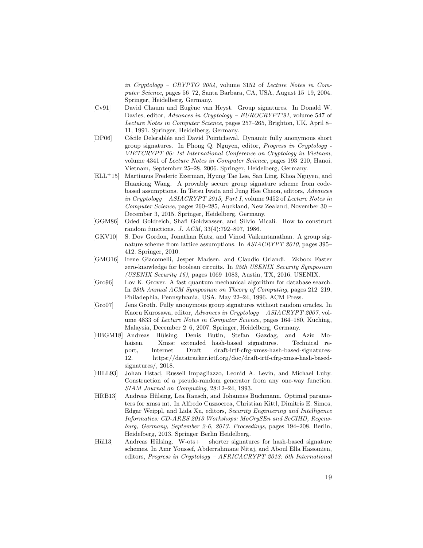in Cryptology – CRYPTO 2004, volume 3152 of Lecture Notes in Computer Science, pages 56–72, Santa Barbara, CA, USA, August 15–19, 2004. Springer, Heidelberg, Germany.

- [Cv91] David Chaum and Eugène van Heyst. Group signatures. In Donald W. Davies, editor, Advances in Cryptology – EUROCRYPT'91, volume 547 of Lecture Notes in Computer Science, pages 257–265, Brighton, UK, April 8– 11, 1991. Springer, Heidelberg, Germany.
- [DP06] Cécile Delerablée and David Pointcheval. Dynamic fully anonymous short group signatures. In Phong Q. Nguyen, editor, Progress in Cryptology - VIETCRYPT 06: 1st International Conference on Cryptology in Vietnam, volume 4341 of Lecture Notes in Computer Science, pages 193–210, Hanoi, Vietnam, September 25–28, 2006. Springer, Heidelberg, Germany.
- [ELL<sup>+</sup>15] Martianus Frederic Ezerman, Hyung Tae Lee, San Ling, Khoa Nguyen, and Huaxiong Wang. A provably secure group signature scheme from codebased assumptions. In Tetsu Iwata and Jung Hee Cheon, editors, Advances in Cryptology – ASIACRYPT 2015, Part I, volume 9452 of Lecture Notes in Computer Science, pages 260–285, Auckland, New Zealand, November 30 – December 3, 2015. Springer, Heidelberg, Germany.
- [GGM86] Oded Goldreich, Shafi Goldwasser, and Silvio Micali. How to construct random functions. J. ACM, 33(4):792–807, 1986.
- [GKV10] S. Dov Gordon, Jonathan Katz, and Vinod Vaikuntanathan. A group signature scheme from lattice assumptions. In ASIACRYPT 2010, pages 395– 412. Springer, 2010.
- [GMO16] Irene Giacomelli, Jesper Madsen, and Claudio Orlandi. Zkboo: Faster zero-knowledge for boolean circuits. In 25th USENIX Security Symposium (USENIX Security 16), pages 1069–1083, Austin, TX, 2016. USENIX.
- [Gro96] Lov K. Grover. A fast quantum mechanical algorithm for database search. In 28th Annual ACM Symposium on Theory of Computing, pages 212–219, Philadephia, Pennsylvania, USA, May 22–24, 1996. ACM Press.
- [Gro07] Jens Groth. Fully anonymous group signatures without random oracles. In Kaoru Kurosawa, editor, Advances in Cryptology – ASIACRYPT 2007, volume 4833 of Lecture Notes in Computer Science, pages 164–180, Kuching, Malaysia, December 2–6, 2007. Springer, Heidelberg, Germany.
- [HBGM18] Andreas Hülsing, Denis Butin, Stefan Gazdag, and Aziz Mohaisen. Xmss: extended hash-based signatures. Technical report, Internet Draft draft-irtf-cfrg-xmss-hash-based-signatures-12. https://datatracker.ietf.org/doc/draft-irtf-cfrg-xmss-hash-basedsignatures/, 2018.
- [HILL93] Johan Hstad, Russell Impagliazzo, Leonid A. Levin, and Michael Luby. Construction of a pseudo-random generator from any one-way function. SIAM Journal on Computing, 28:12–24, 1993.
- [HRB13] Andreas Hülsing, Lea Rausch, and Johannes Buchmann. Optimal parameters for xmss mt. In Alfredo Cuzzocrea, Christian Kittl, Dimitris E. Simos, Edgar Weippl, and Lida Xu, editors, Security Engineering and Intelligence Informatics: CD-ARES 2013 Workshops: MoCrySEn and SeCIHD, Regensburg, Germany, September 2-6, 2013. Proceedings, pages 194–208, Berlin, Heidelberg, 2013. Springer Berlin Heidelberg.
- [Hül13] Andreas Hülsing. W-ots+ shorter signatures for hash-based signature schemes. In Amr Youssef, Abderrahmane Nitaj, and Aboul Ella Hassanien, editors, Progress in Cryptology – AFRICACRYPT 2013: 6th International